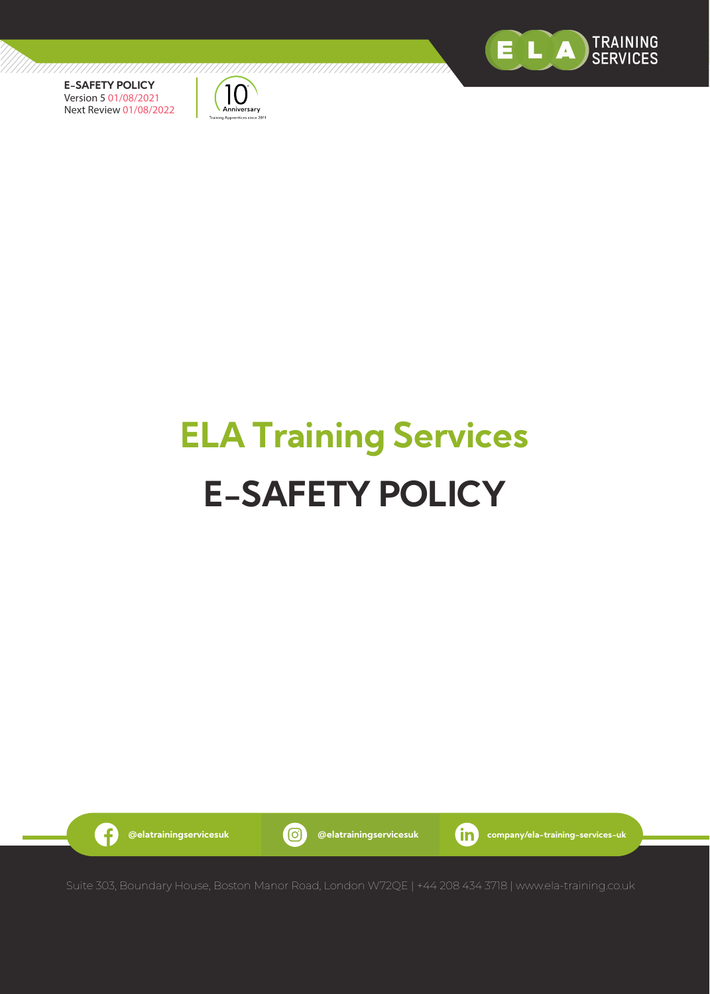



# **ELA Training Services E-SAFETY POLICY**

**@elatrainingservicesuk @elatrainingservicesuk company/ela-training-services-uk**

G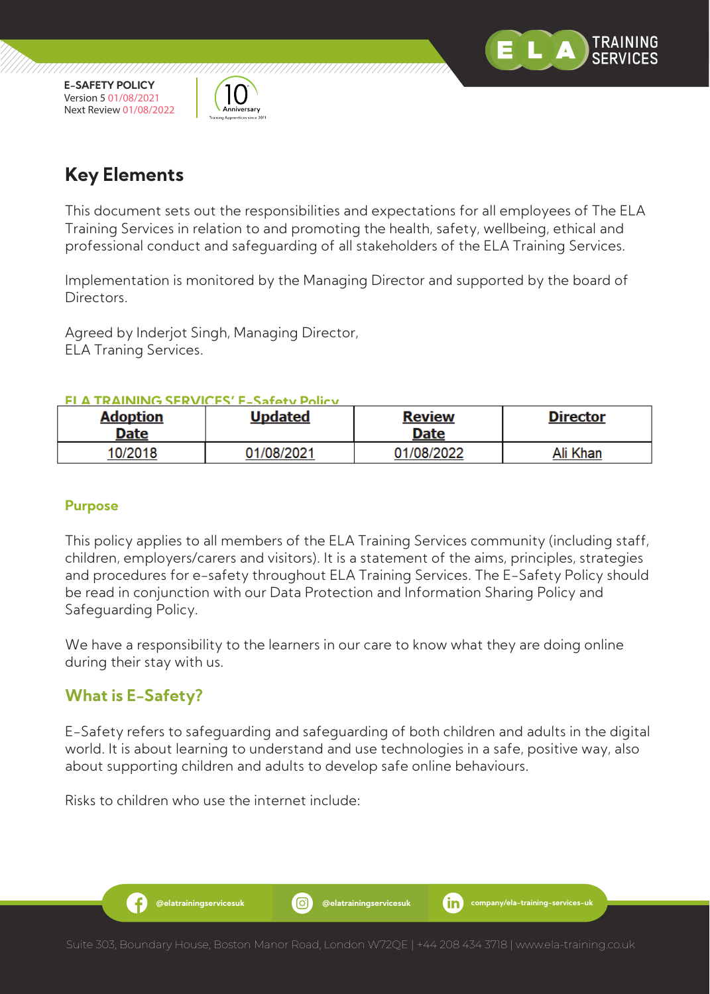

777777777777777777777777777



7777777777777777777

## **Key Elements**

This document sets out the responsibilities and expectations for all employees of The ELA Training Services in relation to and promoting the health, safety, wellbeing, ethical and professional conduct and safeguarding of all stakeholders of the ELA Training Services.

Implementation is monitored by the Managing Director and supported by the board of **Directors** 

Agreed by Inderjot Singh, Managing Director, ELA Traning Services.

#### **ELA TRAINING SERVICES' E-Safety Policy**

| <b>Adoption</b><br><b>Date</b> | <b>Updated</b> | <b>Review</b><br><b>Date</b> | <b>Director</b> |
|--------------------------------|----------------|------------------------------|-----------------|
| 10/2018                        | 01/08/2021     | 01/08/2022                   | Ali Khan        |

#### **Purpose**

This policy applies to all members of the ELA Training Services community (including staff, children, employers/carers and visitors). It is a statement of the aims, principles, strategies and procedures for e-safety throughout ELA Training Services. The E-Safety Policy should be read in conjunction with our Data Protection and Information Sharing Policy and Safeguarding Policy.

We have a responsibility to the learners in our care to know what they are doing online during their stay with us.

## **What is E-Safety?**

.G

E-Safety refers to safeguarding and safeguarding of both children and adults in the digital world. It is about learning to understand and use technologies in a safe, positive way, also about supporting children and adults to develop safe online behaviours.

Risks to children who use the internet include:

**@elatrainingservicesuk @elatrainingservicesuk company/ela-training-services-uk**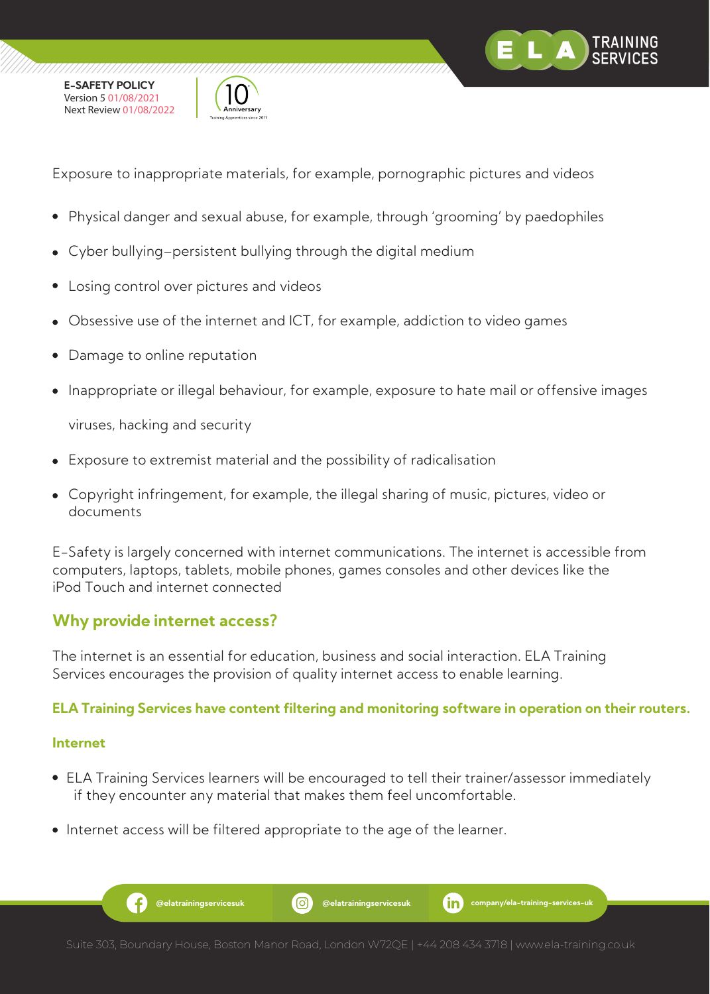

/////////////////////



Exposure to inappropriate materials, for example, pornographic pictures and videos

- Physical danger and sexual abuse, for example, through 'grooming' by paedophiles  $\bullet$
- Cyber bullying–persistent bullying through the digital medium  $\bullet$
- Losing control over pictures and videos
- Obsessive use of the internet and ICT, for example, addiction to video games
- Damage to online reputation
- Inappropriate or illegal behaviour, for example, exposure to hate mail or offensive images  $\bullet$

viruses, hacking and security

- Exposure to extremist material and the possibility of radicalisation
- Copyright infringement, for example, the illegal sharing of music, pictures, video or documents

E-Safety is largely concerned with internet communications. The internet is accessible from computers, laptops, tablets, mobile phones, games consoles and other devices like the iPod Touch and internet connected

## **Why provide internet access?**

The internet is an essential for education, business and social interaction. ELA Training Services encourages the provision of quality internet access to enable learning.

#### **ELA Training Services have content filtering and monitoring software in operation on their routers.**

#### **Internet**

- ELA Training Services learners will be encouraged to tell their trainer/assessor immediately if they encounter any material that makes them feel uncomfortable.
- Internet access will be filtered appropriate to the age of the learner.

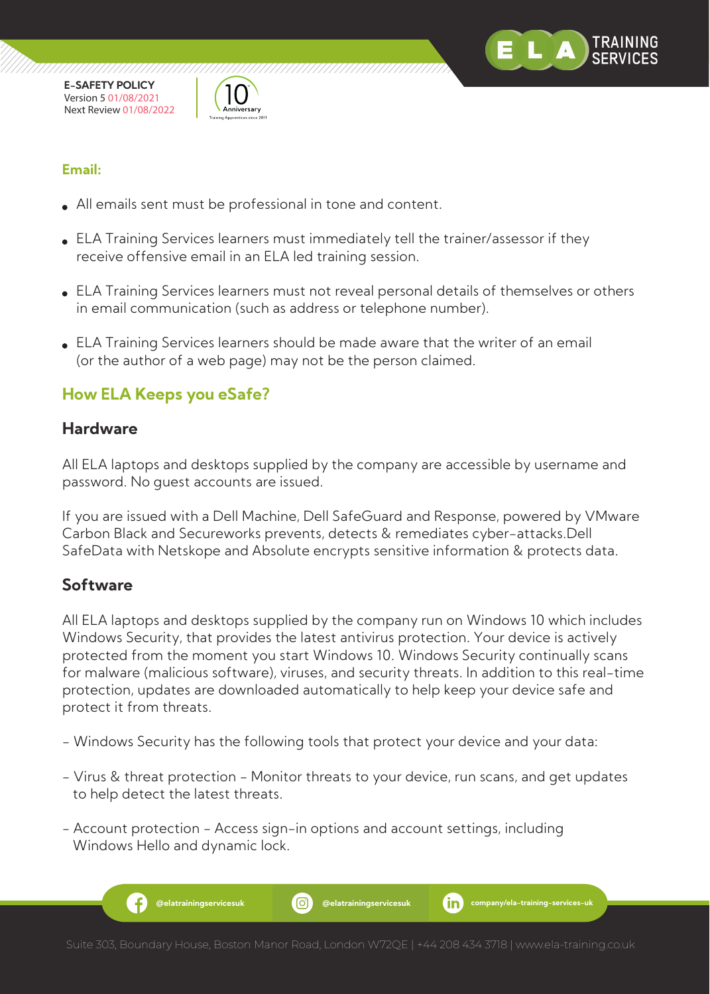

///////////////////////



,,,,,,,,,,,,,,,,,,

#### **Email:**

- All emails sent must be professional in tone and content.
- ELA Training Services learners must immediately tell the trainer/assessor if they receive offensive email in an ELA led training session.
- ELA Training Services learners must not reveal personal details of themselves or others in email communication (such as address or telephone number).
- ELA Training Services learners should be made aware that the writer of an email (or the author of a web page) may not be the person claimed.

## **How ELA Keeps you eSafe?**

#### **Hardware**

All ELA laptops and desktops supplied by the company are accessible by username and password. No guest accounts are issued.

If you are issued with a Dell Machine, Dell SafeGuard and Response, powered by VMware Carbon Black and Secureworks prevents, detects & remediates cyber-attacks.Dell SafeData with Netskope and Absolute encrypts sensitive information & protects data.

## **Software**

All ELA laptops and desktops supplied by the company run on Windows 10 which includes Windows Security, that provides the latest antivirus protection. Your device is actively protected from the moment you start Windows 10. Windows Security continually scans for malware (malicious software), viruses, and security threats. In addition to this real-time protection, updates are downloaded automatically to help keep your device safe and protect it from threats.

- Windows Security has the following tools that protect your device and your data:
- Virus & threat protection Monitor threats to your device, run scans, and get updates to help detect the latest threats.
- Account protection Access sign-in options and account settings, including Windows Hello and dynamic lock.

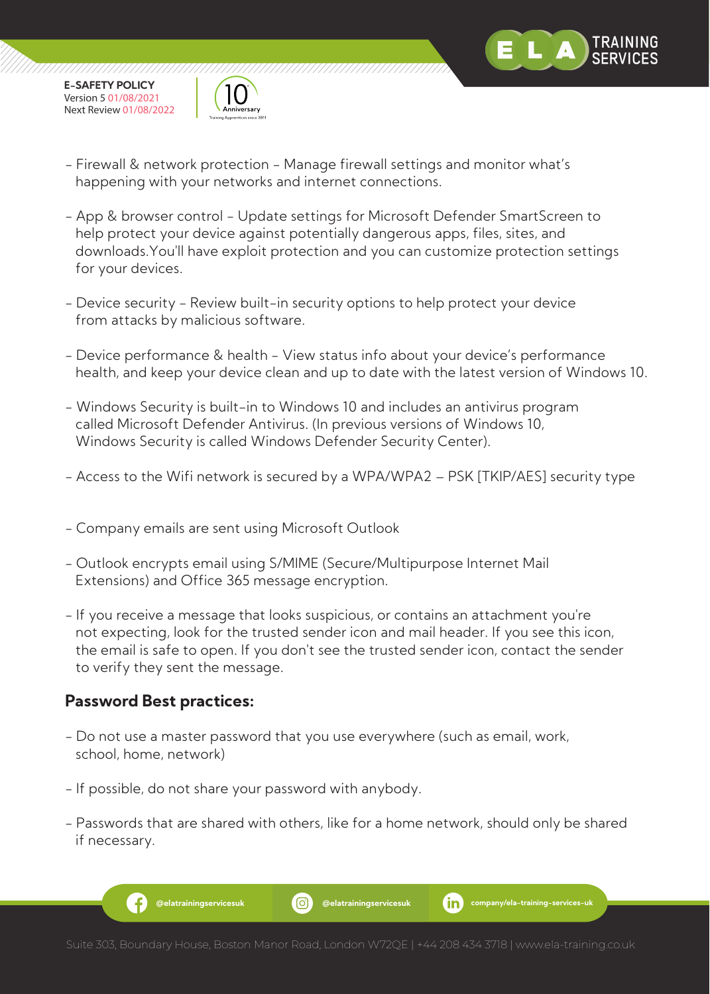

777777777777777777777



- Firewall & network protection Manage firewall settings and monitor what's happening with your networks and internet connections.
- App & browser control Update settings for Microsoft Defender SmartScreen to help protect your device against potentially dangerous apps, files, sites, and downloads.You'll have exploit protection and you can customize protection settings for your devices.
- Device security Review built-in security options to help protect your device from attacks by malicious software.
- Device performance & health View status info about your device's performance health, and keep your device clean and up to date with the latest version of Windows 10.
- Windows Security is built-in to Windows 10 and includes an antivirus program called Microsoft Defender Antivirus. (In previous versions of Windows 10, Windows Security is called Windows Defender Security Center).
- Access to the Wifi network is secured by a WPA/WPA2 PSK [TKIP/AES] security type
- Company emails are sent using Microsoft Outlook
- Outlook encrypts email using S/MIME (Secure/Multipurpose Internet Mail Extensions) and Office 365 message encryption.
- If you receive a message that looks suspicious, or contains an attachment you're not expecting, look for the trusted sender icon and mail header. If you see this icon, the email is safe to open. If you don't see the trusted sender icon, contact the sender to verify they sent the message.

#### **Password Best practices:**

- Do not use a master password that you use everywhere (such as email, work, school, home, network)
- If possible, do not share your password with anybody.
- Passwords that are shared with others, like for a home network, should only be shared if necessary.

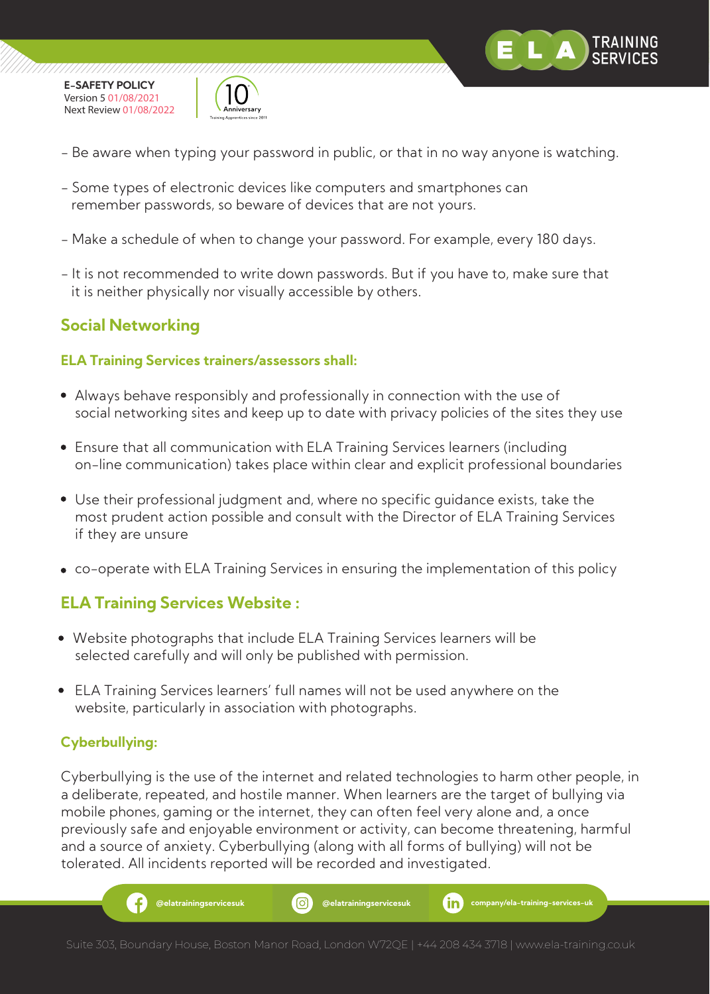

,,,,,,,,,,,,,,,,,,,,,,,,



- Be aware when typing your password in public, or that in no way anyone is watching.
- Some types of electronic devices like computers and smartphones can remember passwords, so beware of devices that are not yours.
- Make a schedule of when to change your password. For example, every 180 days.
- It is not recommended to write down passwords. But if you have to, make sure that it is neither physically nor visually accessible by others.

## **Social Networking**

#### **ELA Training Services trainers/assessors shall:**

- Always behave responsibly and professionally in connection with the use of social networking sites and keep up to date with privacy policies of the sites they use
- Ensure that all communication with ELA Training Services learners (including on-line communication) takes place within clear and explicit professional boundaries
- Use their professional judgment and, where no specific guidance exists, take the most prudent action possible and consult with the Director of ELA Training Services if they are unsure
- co-operate with ELA Training Services in ensuring the implementation of this policy

#### **ELA Training Services Website :**

- Website photographs that include ELA Training Services learners will be selected carefully and will only be published with permission.
- ELA Training Services learners' full names will not be used anywhere on the website, particularly in association with photographs.

#### **Cyberbullying:**

Cyberbullying is the use of the internet and related technologies to harm other people, in a deliberate, repeated, and hostile manner. When learners are the target of bullying via mobile phones, gaming or the internet, they can often feel very alone and, a once previously safe and enjoyable environment or activity, can become threatening, harmful and a source of anxiety. Cyberbullying (along with all forms of bullying) will not be tolerated. All incidents reported will be recorded and investigated.